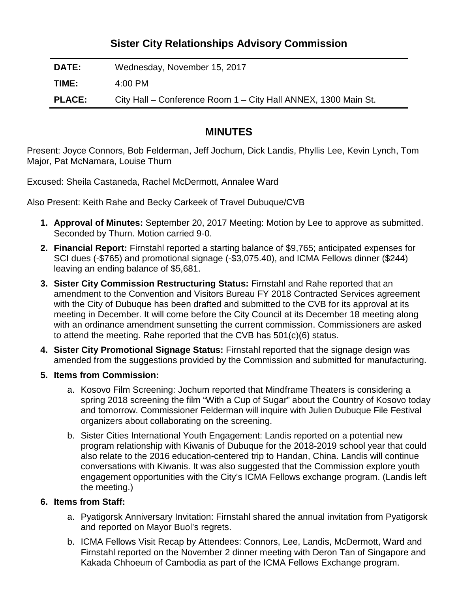## **Sister City Relationships Advisory Commission**

**DATE:** Wednesday, November 15, 2017 **TIME:** 4:00 PM **PLACE:** City Hall – Conference Room 1 – City Hall ANNEX, 1300 Main St.

## **MINUTES**

Present: Joyce Connors, Bob Felderman, Jeff Jochum, Dick Landis, Phyllis Lee, Kevin Lynch, Tom Major, Pat McNamara, Louise Thurn

Excused: Sheila Castaneda, Rachel McDermott, Annalee Ward

Also Present: Keith Rahe and Becky Carkeek of Travel Dubuque/CVB

- **1. Approval of Minutes:** September 20, 2017 Meeting: Motion by Lee to approve as submitted. Seconded by Thurn. Motion carried 9-0.
- **2. Financial Report:** Firnstahl reported a starting balance of \$9,765; anticipated expenses for SCI dues (-\$765) and promotional signage (-\$3,075.40), and ICMA Fellows dinner (\$244) leaving an ending balance of \$5,681.
- **3. Sister City Commission Restructuring Status:** Firnstahl and Rahe reported that an amendment to the Convention and Visitors Bureau FY 2018 Contracted Services agreement with the City of Dubuque has been drafted and submitted to the CVB for its approval at its meeting in December. It will come before the City Council at its December 18 meeting along with an ordinance amendment sunsetting the current commission. Commissioners are asked to attend the meeting. Rahe reported that the CVB has 501(c)(6) status.
- **4. Sister City Promotional Signage Status:** Firnstahl reported that the signage design was amended from the suggestions provided by the Commission and submitted for manufacturing.
- **5. Items from Commission:**
	- a. Kosovo Film Screening: Jochum reported that Mindframe Theaters is considering a spring 2018 screening the film "With a Cup of Sugar" about the Country of Kosovo today and tomorrow. Commissioner Felderman will inquire with Julien Dubuque File Festival organizers about collaborating on the screening.
	- b. Sister Cities International Youth Engagement: Landis reported on a potential new program relationship with Kiwanis of Dubuque for the 2018-2019 school year that could also relate to the 2016 education-centered trip to Handan, China. Landis will continue conversations with Kiwanis. It was also suggested that the Commission explore youth engagement opportunities with the City's ICMA Fellows exchange program. (Landis left the meeting.)

## **6. Items from Staff:**

- a. Pyatigorsk Anniversary Invitation: Firnstahl shared the annual invitation from Pyatigorsk and reported on Mayor Buol's regrets.
- b. ICMA Fellows Visit Recap by Attendees: Connors, Lee, Landis, McDermott, Ward and Firnstahl reported on the November 2 dinner meeting with Deron Tan of Singapore and Kakada Chhoeum of Cambodia as part of the ICMA Fellows Exchange program.